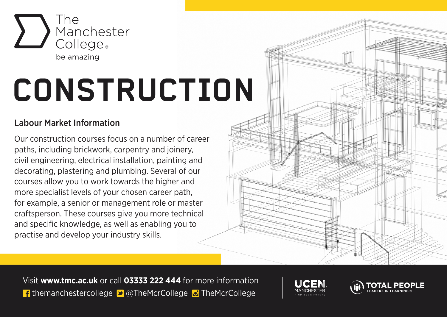

## **CONSTRUCTION**

## Labour Market Information

Our construction courses focus on a number of career paths, including brickwork, carpentry and joinery, civil engineering, electrical installation, painting and decorating, plastering and plumbing. Several of our courses allow you to work towards the higher and more specialist levels of your chosen career path, for example, a senior or management role or master craftsperson. These courses give you more technical and specific knowledge, as well as enabling you to practise and develop your industry skills.

Visit **www.tmc.ac.uk** or call **03333 222 444** for more information **f** themanchestercollege  $\blacktriangleright$  @TheMcrCollege  $\blacktriangleright$  TheMcrCollege